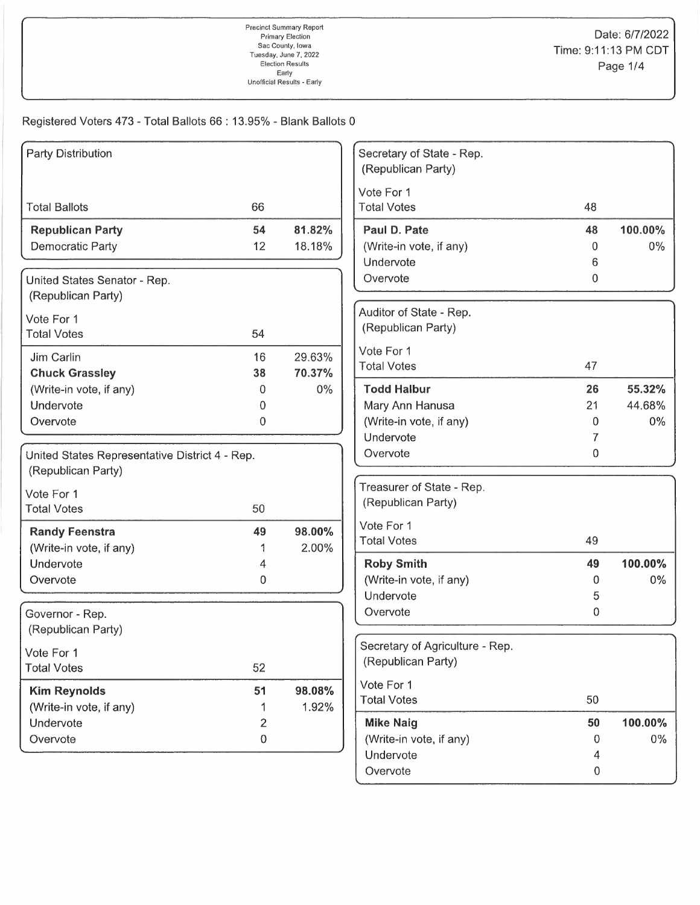## Registered Voters 473 - Total Ballots 66 : 13.95% - Blank Ballots 0

| <b>Party Distribution</b>                        |                         |        | Secretary of State - Rep.       |              |         |
|--------------------------------------------------|-------------------------|--------|---------------------------------|--------------|---------|
|                                                  |                         |        | (Republican Party)              |              |         |
|                                                  |                         |        | Vote For 1                      |              |         |
| <b>Total Ballots</b>                             | 66                      |        | <b>Total Votes</b>              | 48           |         |
| <b>Republican Party</b>                          | 54                      | 81.82% | Paul D. Pate                    | 48           | 100.00% |
| <b>Democratic Party</b>                          | 12                      | 18.18% | (Write-in vote, if any)         | 0            | $0\%$   |
|                                                  |                         |        | Undervote                       | 6            |         |
| United States Senator - Rep.                     |                         |        | Overvote                        | $\mathbf{0}$ |         |
| (Republican Party)                               |                         |        |                                 |              |         |
| Vote For 1                                       |                         |        | Auditor of State - Rep.         |              |         |
| <b>Total Votes</b>                               | 54                      |        | (Republican Party)              |              |         |
| Jim Carlin                                       | 16                      | 29.63% | Vote For 1                      |              |         |
| <b>Chuck Grassley</b>                            | 38                      | 70.37% | <b>Total Votes</b>              | 47           |         |
| (Write-in vote, if any)                          | 0                       | 0%     | <b>Todd Halbur</b>              | 26           | 55.32%  |
| Undervote                                        | $\Omega$                |        | Mary Ann Hanusa                 | 21           | 44.68%  |
| Overvote                                         | $\mathbf 0$             |        | (Write-in vote, if any)         | 0            | $0\%$   |
|                                                  |                         |        | Undervote                       | 7            |         |
| United States Representative District 4 - Rep.   |                         |        | Overvote                        | 0            |         |
| (Republican Party)                               |                         |        |                                 |              |         |
| Vote For 1                                       |                         |        | Treasurer of State - Rep.       |              |         |
| <b>Total Votes</b>                               | 50                      |        | (Republican Party)              |              |         |
|                                                  | 49                      | 98.00% | Vote For 1                      |              |         |
| <b>Randy Feenstra</b><br>(Write-in vote, if any) |                         | 2.00%  | <b>Total Votes</b>              | 49           |         |
| Undervote                                        | 4                       |        | <b>Roby Smith</b>               | 49           | 100.00% |
| Overvote                                         | 0                       |        | (Write-in vote, if any)         | 0            | $0\%$   |
|                                                  |                         |        | Undervote                       | 5            |         |
| Governor - Rep.                                  |                         |        | Overvote                        | 0            |         |
| (Republican Party)                               |                         |        |                                 |              |         |
|                                                  |                         |        | Secretary of Agriculture - Rep. |              |         |
| Vote For 1<br><b>Total Votes</b>                 | 52                      |        | (Republican Party)              |              |         |
|                                                  |                         |        | Vote For 1                      |              |         |
| <b>Kim Reynolds</b>                              | 51                      | 98.08% | <b>Total Votes</b>              | 50           |         |
| (Write-in vote, if any)                          | 1                       | 1.92%  |                                 |              |         |
| Undervote                                        | $\overline{\mathbf{c}}$ |        | <b>Mike Naig</b>                | 50           | 100.00% |
| Overvote                                         | 0                       |        | (Write-in vote, if any)         | 0            | $0\%$   |
|                                                  |                         |        | Undervote                       | 4            |         |
|                                                  |                         |        | Overvote                        | 0            |         |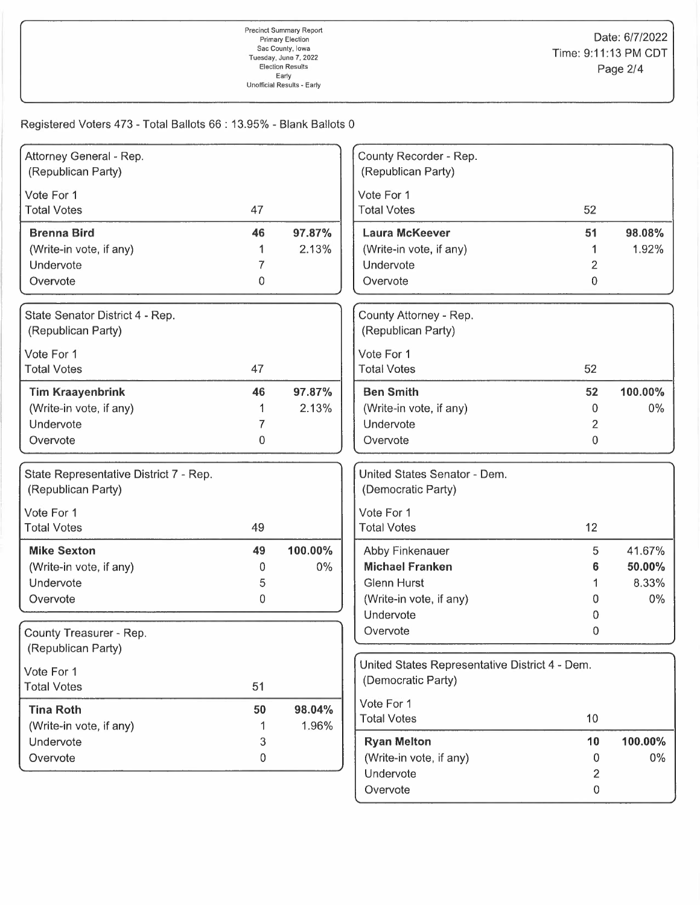Registered Voters 473 - Total Ballots 66: 13.95% - Blank Ballots 0

| Attorney General - Rep.                |              |         | County Recorder - Rep.                         |                |         |
|----------------------------------------|--------------|---------|------------------------------------------------|----------------|---------|
| (Republican Party)                     |              |         | (Republican Party)                             |                |         |
| Vote For 1                             |              |         | Vote For 1                                     |                |         |
| <b>Total Votes</b>                     | 47           |         | <b>Total Votes</b>                             | 52             |         |
| <b>Brenna Bird</b>                     | 46           | 97.87%  | <b>Laura McKeever</b>                          | 51             | 98.08%  |
| (Write-in vote, if any)                |              | 2.13%   | (Write-in vote, if any)                        |                | 1.92%   |
| Undervote                              | 7            |         | Undervote                                      | 2              |         |
| Overvote                               | 0            |         | Overvote                                       | 0              |         |
| State Senator District 4 - Rep.        |              |         | County Attorney - Rep.                         |                |         |
| (Republican Party)                     |              |         | (Republican Party)                             |                |         |
| Vote For 1                             |              |         | Vote For 1                                     |                |         |
| <b>Total Votes</b>                     | 47           |         | <b>Total Votes</b>                             | 52             |         |
| <b>Tim Kraayenbrink</b>                | 46           | 97.87%  | <b>Ben Smith</b>                               | 52             | 100.00% |
| (Write-in vote, if any)                |              | 2.13%   | (Write-in vote, if any)                        | 0              | 0%      |
| Undervote                              | 7            |         | Undervote                                      | $\overline{2}$ |         |
| Overvote                               | $\mathbf{0}$ |         | Overvote                                       | 0              |         |
| State Representative District 7 - Rep. |              |         | United States Senator - Dem.                   |                |         |
| (Republican Party)                     |              |         | (Democratic Party)                             |                |         |
| Vote For 1                             |              |         | Vote For 1                                     |                |         |
| <b>Total Votes</b>                     | 49           |         | <b>Total Votes</b>                             | 12             |         |
| <b>Mike Sexton</b>                     | 49           | 100.00% | Abby Finkenauer                                | 5              | 41.67%  |
| (Write-in vote, if any)                | 0            | $0\%$   | <b>Michael Franken</b>                         | 6              | 50.00%  |
| Undervote                              | 5            |         | <b>Glenn Hurst</b>                             | 1              | 8.33%   |
| Overvote                               | 0            |         | (Write-in vote, if any)                        | 0              | $0\%$   |
|                                        |              |         | Undervote                                      | 0              |         |
| County Treasurer - Rep.                |              |         | Overvote                                       | 0              |         |
| (Republican Party)                     |              |         |                                                |                |         |
| Vote For 1                             |              |         | United States Representative District 4 - Dem. |                |         |
| <b>Total Votes</b>                     | 51           |         | (Democratic Party)                             |                |         |
| <b>Tina Roth</b>                       | 50           | 98.04%  | Vote For 1                                     |                |         |
| (Write-in vote, if any)                | 1            | 1.96%   | <b>Total Votes</b>                             | 10             |         |
| Undervote                              | 3            |         | <b>Ryan Melton</b>                             | 10             | 100.00% |
| Overvote                               | 0            |         | (Write-in vote, if any)                        | 0              | $0\%$   |
|                                        |              |         | Undervote                                      | $\overline{c}$ |         |
|                                        |              |         | Overvote                                       | 0              |         |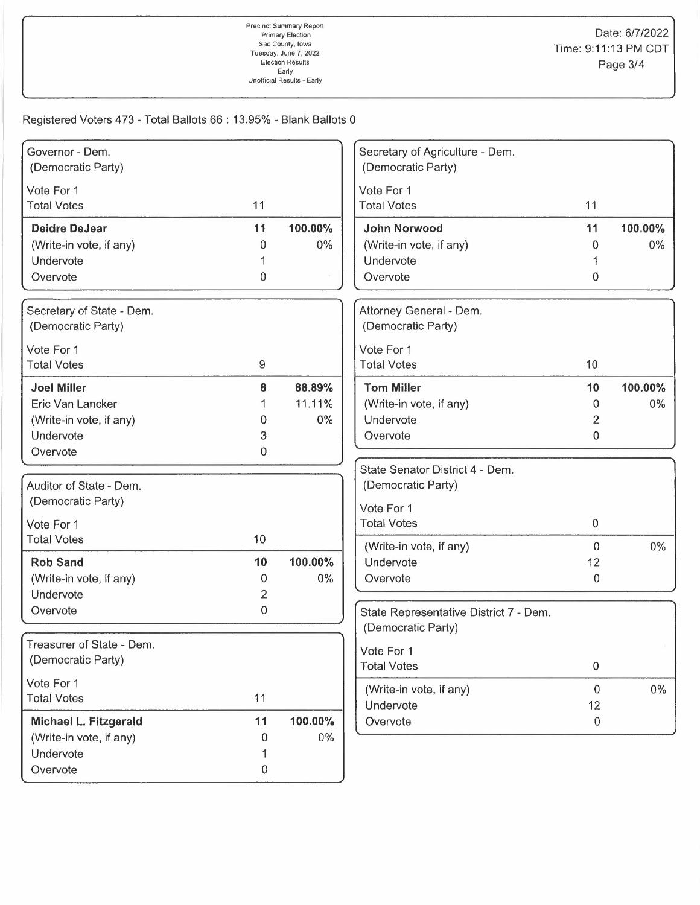Registered Voters 473 - Total Ballots 66 : 13.95% - Blank Ballots 0

| Governor - Dem.                                 |                |         | Secretary of Agriculture - Dem.               |                  |         |
|-------------------------------------------------|----------------|---------|-----------------------------------------------|------------------|---------|
| (Democratic Party)                              |                |         | (Democratic Party)                            |                  |         |
| Vote For 1                                      |                |         | Vote For 1                                    |                  |         |
| <b>Total Votes</b>                              | 11             |         | <b>Total Votes</b>                            | 11               |         |
| <b>Deidre DeJear</b>                            | 11             | 100.00% | <b>John Norwood</b>                           | 11               | 100.00% |
| (Write-in vote, if any)                         | 0              | $0\%$   | (Write-in vote, if any)                       | 0                | $0\%$   |
| Undervote                                       |                |         | Undervote                                     |                  |         |
| Overvote                                        | 0              |         | Overvote                                      | 0                |         |
|                                                 |                |         |                                               |                  |         |
| Secretary of State - Dem.<br>(Democratic Party) |                |         | Attorney General - Dem.<br>(Democratic Party) |                  |         |
|                                                 |                |         |                                               |                  |         |
| Vote For 1                                      |                |         | Vote For 1                                    | 10               |         |
| <b>Total Votes</b>                              | 9              |         | <b>Total Votes</b>                            |                  |         |
| <b>Joel Miller</b>                              | 8              | 88.89%  | <b>Tom Miller</b>                             | 10               | 100.00% |
| Eric Van Lancker                                |                | 11.11%  | (Write-in vote, if any)                       | 0                | $0\%$   |
| (Write-in vote, if any)                         | 0              | 0%      | Undervote                                     | 2                |         |
| Undervote                                       | 3              |         | Overvote                                      | 0                |         |
| Overvote                                        | 0              |         |                                               |                  |         |
|                                                 |                |         | State Senator District 4 - Dem.               |                  |         |
| Auditor of State - Dem.                         |                |         | (Democratic Party)                            |                  |         |
| (Democratic Party)                              |                |         | Vote For 1                                    |                  |         |
| Vote For 1                                      |                |         | <b>Total Votes</b>                            | $\mathbf 0$      |         |
| <b>Total Votes</b>                              | 10             |         |                                               |                  |         |
|                                                 |                |         | (Write-in vote, if any)                       | $\mathbf{0}$     | 0%      |
| <b>Rob Sand</b>                                 | 10             | 100.00% | Undervote                                     | 12               |         |
| (Write-in vote, if any)                         | 0              | 0%      | Overvote                                      | $\overline{0}$   |         |
| Undervote                                       | $\overline{2}$ |         |                                               |                  |         |
| Overvote                                        | 0              |         | State Representative District 7 - Dem.        |                  |         |
|                                                 |                |         | (Democratic Party)                            |                  |         |
| Treasurer of State - Dem.                       |                |         | Vote For 1                                    |                  |         |
| (Democratic Party)                              |                |         | <b>Total Votes</b>                            | $\,0\,$          |         |
| Vote For 1                                      |                |         | (Write-in vote, if any)                       | $\overline{0}$   | $0\%$   |
| <b>Total Votes</b>                              | 11             |         | Undervote                                     | 12               |         |
| Michael L. Fitzgerald                           | 11             | 100.00% | Overvote                                      | $\boldsymbol{0}$ |         |
| (Write-in vote, if any)                         | 0              | 0%      |                                               |                  |         |
| Undervote                                       |                |         |                                               |                  |         |
| Overvote                                        | 0              |         |                                               |                  |         |
|                                                 |                |         |                                               |                  |         |